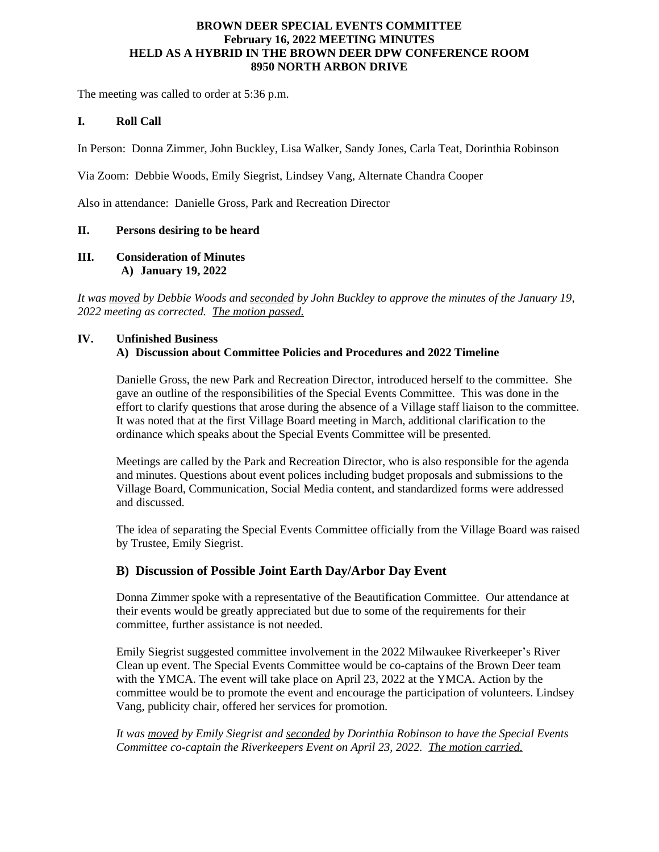## **BROWN DEER SPECIAL EVENTS COMMITTEE February 16, 2022 MEETING MINUTES HELD AS A HYBRID IN THE BROWN DEER DPW CONFERENCE ROOM 8950 NORTH ARBON DRIVE**

The meeting was called to order at 5:36 p.m.

### **I. Roll Call**

In Person: Donna Zimmer, John Buckley, Lisa Walker, Sandy Jones, Carla Teat, Dorinthia Robinson

Via Zoom: Debbie Woods, Emily Siegrist, Lindsey Vang, Alternate Chandra Cooper

Also in attendance: Danielle Gross, Park and Recreation Director

### **II. Persons desiring to be heard**

### **III. Consideration of Minutes A) January 19, 2022**

*It was moved by Debbie Woods and seconded by John Buckley to approve the minutes of the January 19, 2022 meeting as corrected. The motion passed.*

#### **IV. Unfinished Business A) Discussion about Committee Policies and Procedures and 2022 Timeline**

## Danielle Gross, the new Park and Recreation Director, introduced herself to the committee. She gave an outline of the responsibilities of the Special Events Committee. This was done in the effort to clarify questions that arose during the absence of a Village staff liaison to the committee. It was noted that at the first Village Board meeting in March, additional clarification to the ordinance which speaks about the Special Events Committee will be presented.

Meetings are called by the Park and Recreation Director, who is also responsible for the agenda and minutes. Questions about event polices including budget proposals and submissions to the Village Board, Communication, Social Media content, and standardized forms were addressed and discussed.

The idea of separating the Special Events Committee officially from the Village Board was raised by Trustee, Emily Siegrist.

### **B) Discussion of Possible Joint Earth Day/Arbor Day Event**

Donna Zimmer spoke with a representative of the Beautification Committee. Our attendance at their events would be greatly appreciated but due to some of the requirements for their committee, further assistance is not needed.

Emily Siegrist suggested committee involvement in the 2022 Milwaukee Riverkeeper's River Clean up event. The Special Events Committee would be co-captains of the Brown Deer team with the YMCA. The event will take place on April 23, 2022 at the YMCA. Action by the committee would be to promote the event and encourage the participation of volunteers. Lindsey Vang, publicity chair, offered her services for promotion.

*It was moved by Emily Siegrist and seconded by Dorinthia Robinson to have the Special Events Committee co-captain the Riverkeepers Event on April 23, 2022. The motion carried.*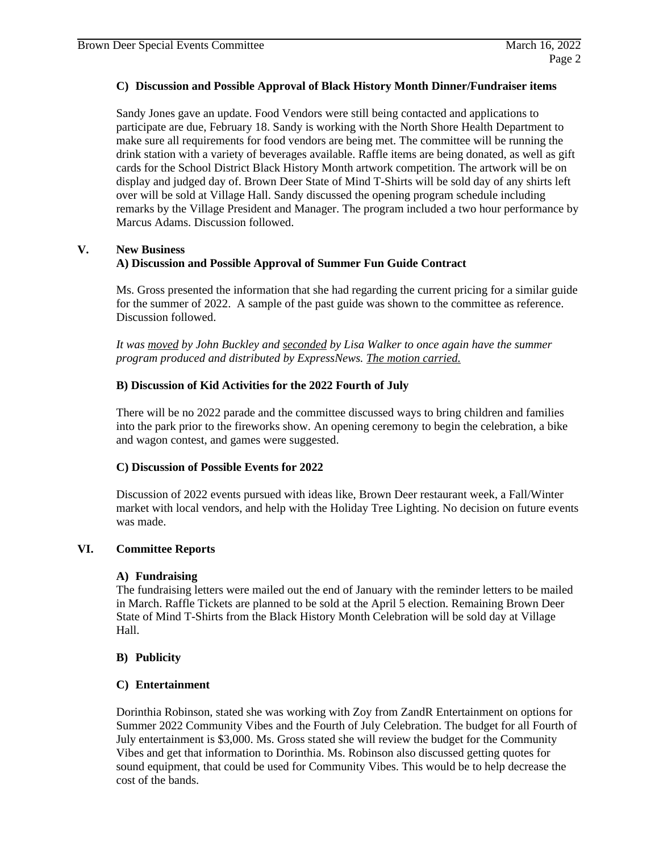# **C) Discussion and Possible Approval of Black History Month Dinner/Fundraiser items**

Sandy Jones gave an update. Food Vendors were still being contacted and applications to participate are due, February 18. Sandy is working with the North Shore Health Department to make sure all requirements for food vendors are being met. The committee will be running the drink station with a variety of beverages available. Raffle items are being donated, as well as gift cards for the School District Black History Month artwork competition. The artwork will be on display and judged day of. Brown Deer State of Mind T-Shirts will be sold day of any shirts left over will be sold at Village Hall. Sandy discussed the opening program schedule including remarks by the Village President and Manager. The program included a two hour performance by Marcus Adams. Discussion followed.

# **V. New Business**

# **A) Discussion and Possible Approval of Summer Fun Guide Contract**

Ms. Gross presented the information that she had regarding the current pricing for a similar guide for the summer of 2022. A sample of the past guide was shown to the committee as reference. Discussion followed.

*It was moved by John Buckley and seconded by Lisa Walker to once again have the summer program produced and distributed by ExpressNews. The motion carried.*

# **B) Discussion of Kid Activities for the 2022 Fourth of July**

There will be no 2022 parade and the committee discussed ways to bring children and families into the park prior to the fireworks show. An opening ceremony to begin the celebration, a bike and wagon contest, and games were suggested.

### **C) Discussion of Possible Events for 2022**

Discussion of 2022 events pursued with ideas like, Brown Deer restaurant week, a Fall/Winter market with local vendors, and help with the Holiday Tree Lighting. No decision on future events was made.

# **VI. Committee Reports**

### **A) Fundraising**

The fundraising letters were mailed out the end of January with the reminder letters to be mailed in March. Raffle Tickets are planned to be sold at the April 5 election. Remaining Brown Deer State of Mind T-Shirts from the Black History Month Celebration will be sold day at Village Hall.

### **B) Publicity**

### **C) Entertainment**

Dorinthia Robinson, stated she was working with Zoy from ZandR Entertainment on options for Summer 2022 Community Vibes and the Fourth of July Celebration. The budget for all Fourth of July entertainment is \$3,000. Ms. Gross stated she will review the budget for the Community Vibes and get that information to Dorinthia. Ms. Robinson also discussed getting quotes for sound equipment, that could be used for Community Vibes. This would be to help decrease the cost of the bands.